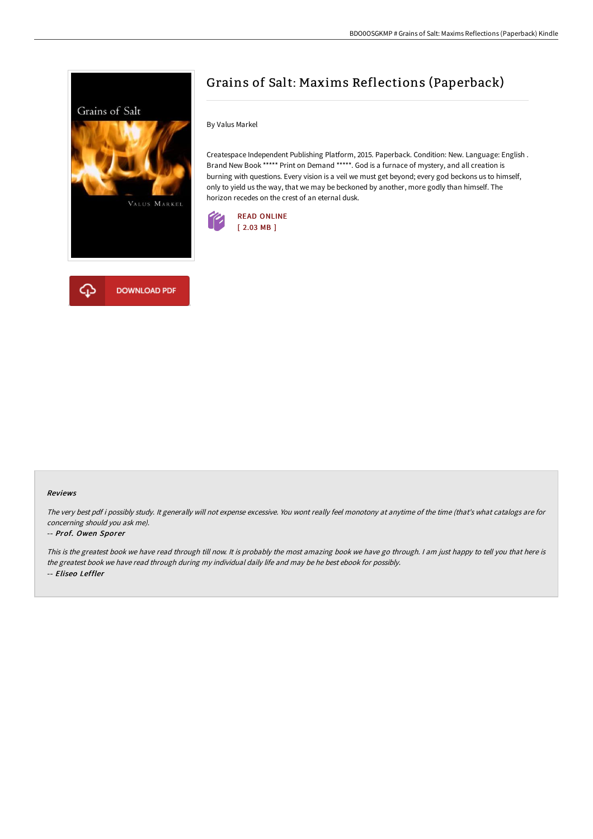

# By Valus Markel

Createspace Independent Publishing Platform, 2015. Paperback. Condition: New. Language: English . Brand New Book \*\*\*\*\* Print on Demand \*\*\*\*\*. God is a furnace of mystery, and all creation is burning with questions. Every vision is a veil we must get beyond; every god beckons us to himself, only to yield us the way, that we may be beckoned by another, more godly than himself. The horizon recedes on the crest of an eternal dusk.

Grains of Salt: Maxims Reflections (Paperback)





#### Reviews

The very best pdf i possibly study. It generally will not expense excessive. You wont really feel monotony at anytime of the time (that's what catalogs are for concerning should you ask me).

#### -- Prof. Owen Sporer

This is the greatest book we have read through till now. It is probably the most amazing book we have go through. I am just happy to tell you that here is the greatest book we have read through during my individual daily life and may be he best ebook for possibly. -- Eliseo Leffler